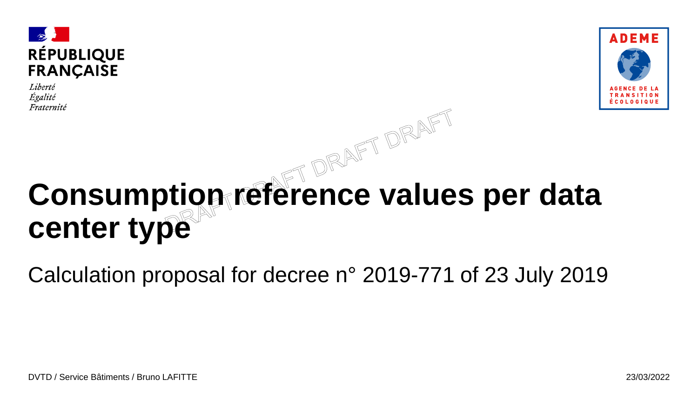

Liberté Égalité Fraternité



# **Consumption reference values per data center type**

Calculation proposal for decree n° 2019-771 of 23 July 2019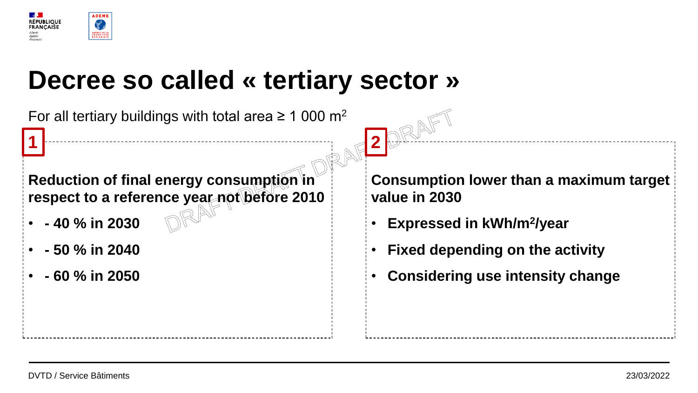

## **Decree so called « tertiary sector »**

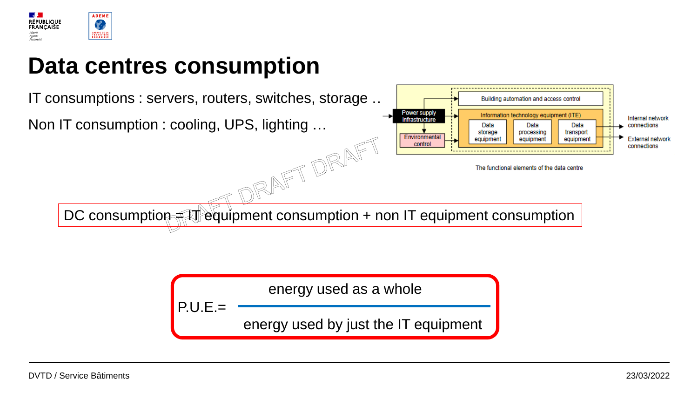

### **Data centres consumption**



energy used as a whole energy used by just the IT equipment P.U.E.=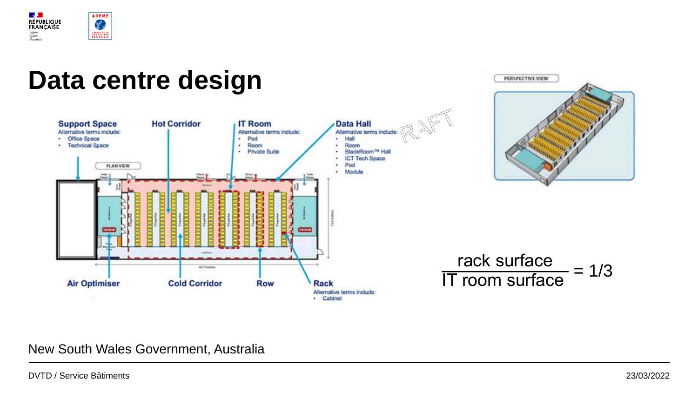

#### **Data centre design** PERSPECTIVE VIEW **Data Hall Support Space Hot Corridor IT Room** Alternative terms include: Alternative terms include: Alternative terms include: · Office Space Pod Hall  $\mathbf{r}$ · Technical Space · Room Room BladeRoom™ Hall · Private Suite  $\bullet$ **ICT Tech Space PLAN VIEW** ٠ Pod Module **Coll Tare** rack surface  $\leftarrow$  $\frac{120k \text{ surface}}{11 \text{ room surface}} = 1/3$ 41.7 matters **Air Optimiser Cold Corridor Row Rack** Alternative terms include: · Cabinet

#### New South Wales Government, Australia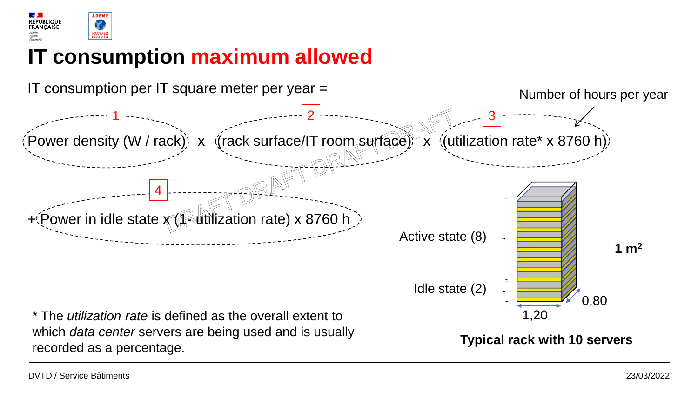

#### **IT consumption maximum allowed**



which *data center* servers are being used and is usually recorded as a percentage.

**Typical rack with 10 servers**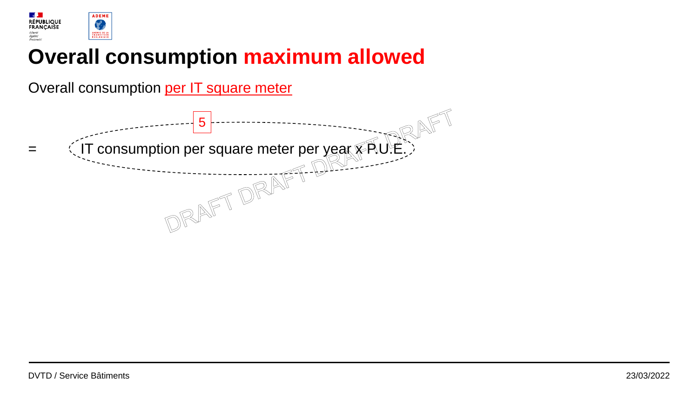

#### **Overall consumption maximum allowed**

Overall consumption per IT square meter

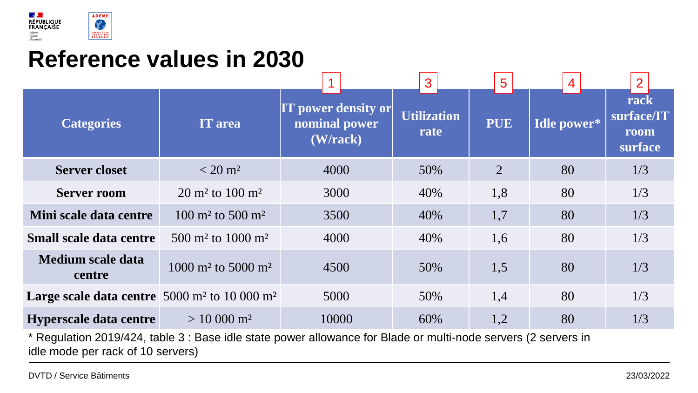

### **Reference values in 2030**

|                                                                                                                     |                                           |                                                         |  |                            | 3   |            | 5   |                    | 4  |  | $\overline{2}$                        |     |
|---------------------------------------------------------------------------------------------------------------------|-------------------------------------------|---------------------------------------------------------|--|----------------------------|-----|------------|-----|--------------------|----|--|---------------------------------------|-----|
| <b>Categories</b>                                                                                                   | <b>IT</b> area                            | <b>IT power density or</b><br>nominal power<br>(W/rack) |  | <b>Utilization</b><br>rate |     | <b>PUE</b> |     | <b>Idle power*</b> |    |  | rack<br>surface/IT<br>room<br>surface |     |
| <b>Server closet</b>                                                                                                | $< 20 \,\mathrm{m}^2$                     | 4000                                                    |  | 50%                        |     |            | 2   | 80                 |    |  | 1/3                                   |     |
| <b>Server room</b>                                                                                                  | $20 \text{ m}^2$ to $100 \text{ m}^2$     | 3000                                                    |  |                            | 40% |            | 1,8 |                    | 80 |  |                                       | 1/3 |
| Mini scale data centre                                                                                              | $100 \text{ m}^2$ to 500 m <sup>2</sup>   | 3500                                                    |  |                            | 40% |            | 1,7 |                    | 80 |  |                                       | 1/3 |
| <b>Small scale data centre</b>                                                                                      | 500 m <sup>2</sup> to 1000 m <sup>2</sup> | 4000                                                    |  |                            | 40% |            | 1,6 |                    | 80 |  |                                       | 1/3 |
| <b>Medium scale data</b><br>centre                                                                                  | $1000 \text{ m}^2$ to 5000 m <sup>2</sup> | 4500                                                    |  |                            | 50% |            | 1,5 |                    | 80 |  |                                       | 1/3 |
| Large scale data centre $5000 \text{ m}^2$ to $10000 \text{ m}^2$                                                   |                                           | 5000                                                    |  |                            | 50% |            | 1,4 |                    | 80 |  |                                       | 1/3 |
| Hyperscale data centre                                                                                              | $> 10000$ m <sup>2</sup>                  | 10000                                                   |  |                            | 60% |            | 1,2 |                    | 80 |  |                                       | 1/3 |
| $\star$ Desulation 0040/494, toble 2 : Dessiele pate pours ollewanes for Dlode or multi neels espress (2 conversion |                                           |                                                         |  |                            |     |            |     |                    |    |  |                                       |     |

\* Regulation 2019/424, table 3 : Base idle state power allowance for Blade or multi-node servers (2 servers in idle mode per rack of 10 servers)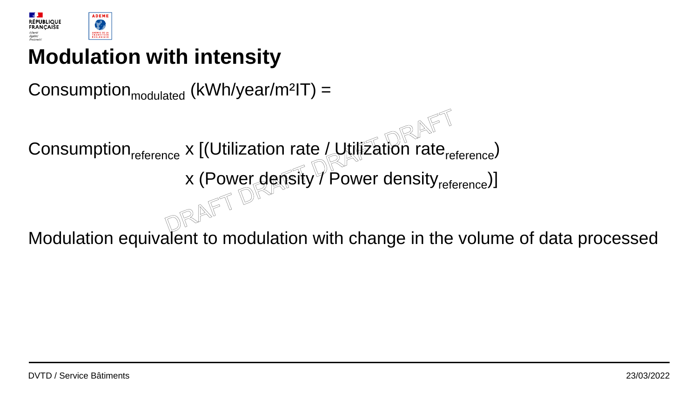

### **Modulation with intensity**

Consumption $_{\text{modulated}}$  (kWh/year/m<sup>2</sup>IT) =

Consumption<sub>reference</sub> x [(Utilization rate / Utilization rate<sub>reference</sub>)

x (Power density / Power density<sub>reference</sub>)]

Modulation equivalent to modulation with change in the volume of data processed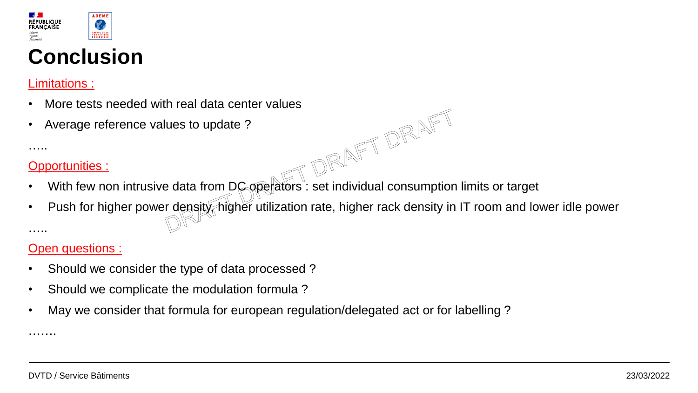

### **Conclusion**

#### Limitations :

- More tests needed with real data center values<br>Average reference values to update ?<br>
...<br>
<u>portunities :</u>
- Average reference values to update ?

#### Opportunities :

…..

…….

- With few non intrusive data from DC operators: set individual consumption limits or target
- Push for higher power density, higher utilization rate, higher rack density in IT room and lower idle power …..

#### Open questions :

- Should we consider the type of data processed ?
- Should we complicate the modulation formula ?
- May we consider that formula for european regulation/delegated act or for labelling ?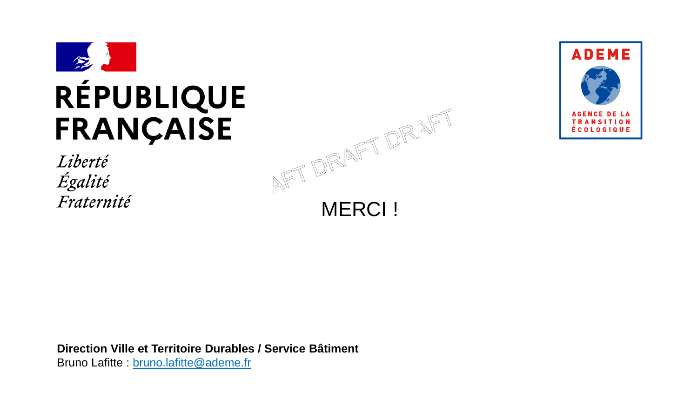

## **RÉPUBLIQUE FRANÇAISE**

Liberté Égalité Fraternité





**Direction Ville et Territoire Durables / Service Bâtiment** Bruno Lafitte : bruno.lafitte@ademe.fr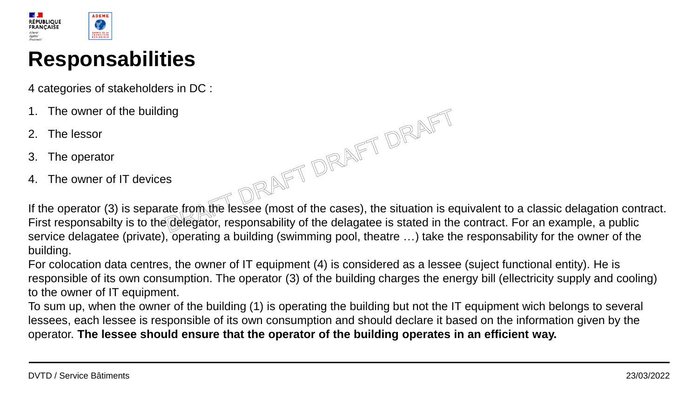

#### **Responsabilities**

4 categories of stakeholders in DC :

- The owner of the building
- 2. The lessor
- 3. The operator
- 4. The owner of IT devices

If the operator (3) is separate from the lessee (most of the cases), the situation is equivalent to a classic delagation contract. First responsabilty is to the delegator, responsability of the delagatee is stated in the contract. For an example, a public service delagatee (private), operating a building (swimming pool, theatre ...) take the responsability for the owner of the building.

For colocation data centres, the owner of IT equipment (4) is considered as a lessee (suject functional entity). He is responsible of its own consumption. The operator (3) of the building charges the energy bill (ellectricity supply and cooling) to the owner of IT equipment.

To sum up, when the owner of the building (1) is operating the building but not the IT equipment wich belongs to several lessees, each lessee is responsible of its own consumption and should declare it based on the information given by the operator. **The lessee should ensure that the operator of the building operates in an efficient way.**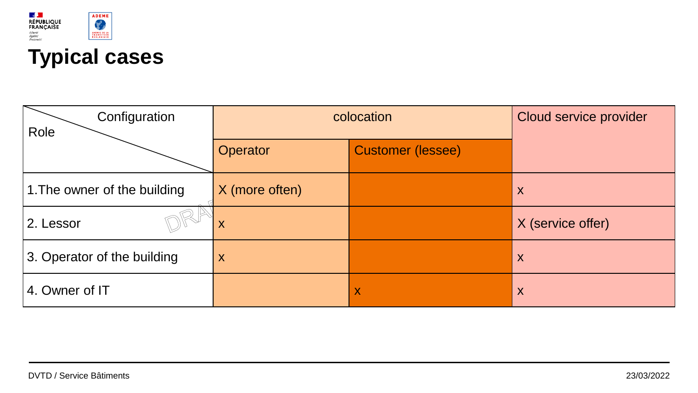

### **Typical cases**

| Configuration<br>Role        | colocation     | Cloud service provider   |                   |  |  |
|------------------------------|----------------|--------------------------|-------------------|--|--|
|                              | Operator       | <b>Customer (lessee)</b> |                   |  |  |
| 1. The owner of the building | X (more often) |                          | X                 |  |  |
| 2. Lessor                    | X              |                          | X (service offer) |  |  |
| 3. Operator of the building  | X              |                          | X                 |  |  |
| 4. Owner of IT               |                | X                        | X                 |  |  |